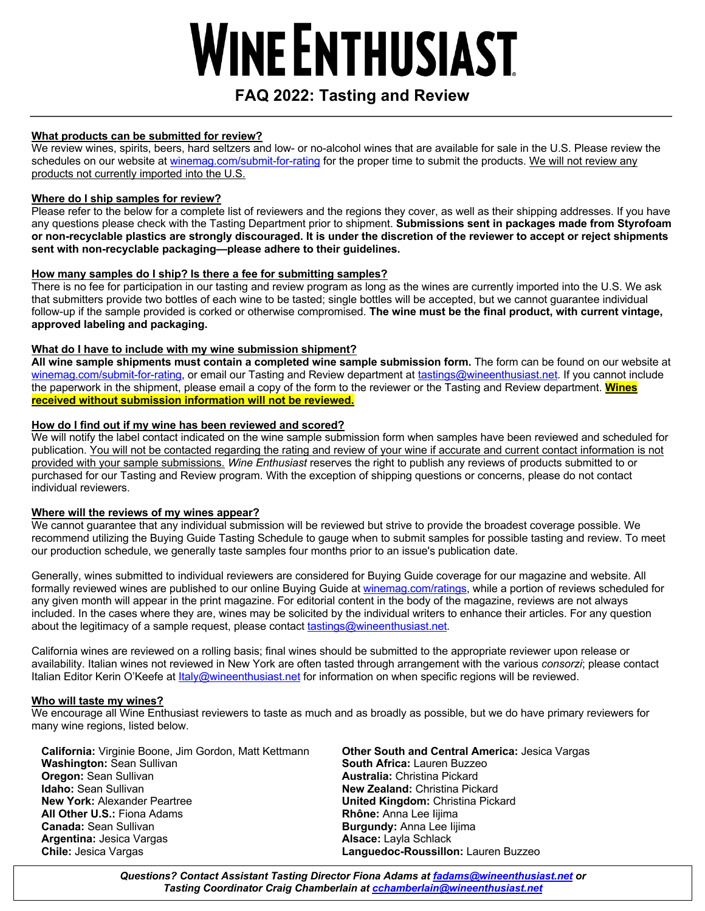# **WINE ENTHUSIAST**

# **FAQ 2022: Tasting and Review**

#### **What products can be submitted for review?**

We review wines, spirits, beers, hard seltzers and low- or no-alcohol wines that are available for sale in the U.S. Please review the schedules on our website at winemag.com/submit-for-rating for the proper time to submit the products. We will not review any products not currently imported into the U.S.

### **Where do I ship samples for review?**

Please refer to the below for a complete list of reviewers and the regions they cover, as well as their shipping addresses. If you have any questions please check with the Tasting Department prior to shipment. **Submissions sent in packages made from Styrofoam or non-recyclable plastics are strongly discouraged. It is under the discretion of the reviewer to accept or reject shipments sent with non-recyclable packaging—please adhere to their guidelines.**

# **How many samples do I ship? Is there a fee for submitting samples?**

There is no fee for participation in our tasting and review program as long as the wines are currently imported into the U.S. We ask that submitters provide two bottles of each wine to be tasted; single bottles will be accepted, but we cannot guarantee individual follow-up if the sample provided is corked or otherwise compromised. **The wine must be the final product, with current vintage, approved labeling and packaging.**

### **What do I have to include with my wine submission shipment?**

**All wine sample shipments must contain a completed wine sample submission form.** The form can be found on our website at winemag.com/submit-for-rating, or email our Tasting and Review department at tastings@wineenthusiast.net. If you cannot include the paperwork in the shipment, please email a copy of the form to the reviewer or the Tasting and Review department. **Wines received without submission information will not be reviewed.**

### **How do I find out if my wine has been reviewed and scored?**

We will notify the label contact indicated on the wine sample submission form when samples have been reviewed and scheduled for publication. You will not be contacted regarding the rating and review of your wine if accurate and current contact information is not provided with your sample submissions. *Wine Enthusiast* reserves the right to publish any reviews of products submitted to or purchased for our Tasting and Review program. With the exception of shipping questions or concerns, please do not contact individual reviewers.

#### **Where will the reviews of my wines appear?**

We cannot guarantee that any individual submission will be reviewed but strive to provide the broadest coverage possible. We recommend utilizing the Buying Guide Tasting Schedule to gauge when to submit samples for possible tasting and review. To meet our production schedule, we generally taste samples four months prior to an issue's publication date.

Generally, wines submitted to individual reviewers are considered for Buying Guide coverage for our magazine and website. All formally reviewed wines are published to our online Buying Guide at winemag.com/ratings, while a portion of reviews scheduled for any given month will appear in the print magazine. For editorial content in the body of the magazine, reviews are not always included. In the cases where they are, wines may be solicited by the individual writers to enhance their articles. For any question about the legitimacy of a sample request, please contact tastings@wineenthusiast.net.

California wines are reviewed on a rolling basis; final wines should be submitted to the appropriate reviewer upon release or availability. Italian wines not reviewed in New York are often tasted through arrangement with the various *consorzi*; please contact Italian Editor Kerin O'Keefe at Italy@wineenthusiast.net for information on when specific regions will be reviewed.

#### **Who will taste my wines?**

We encourage all Wine Enthusiast reviewers to taste as much and as broadly as possible, but we do have primary reviewers for many wine regions, listed below.

**California:** Virginie Boone, Jim Gordon, Matt Kettmann **Washington:** Sean Sullivan **Oregon:** Sean Sullivan **Idaho:** Sean Sullivan **New York:** Alexander Peartree **All Other U.S.:** Fiona Adams **Canada:** Sean Sullivan **Argentina:** Jesica Vargas **Chile:** Jesica Vargas

**Other South and Central America:** Jesica Vargas **South Africa:** Lauren Buzzeo **Australia:** Christina Pickard **New Zealand:** Christina Pickard **United Kingdom:** Christina Pickard **Rhône:** Anna Lee Iijima **Burgundy:** Anna Lee Iijima **Alsace:** Layla Schlack **Languedoc-Roussillon:** Lauren Buzzeo

*Questions? Contact Assistant Tasting Director Fiona Adams at fadams@wineenthusiast.net or Tasting Coordinator Craig Chamberlain at cchamberlain@wineenthusiast.net*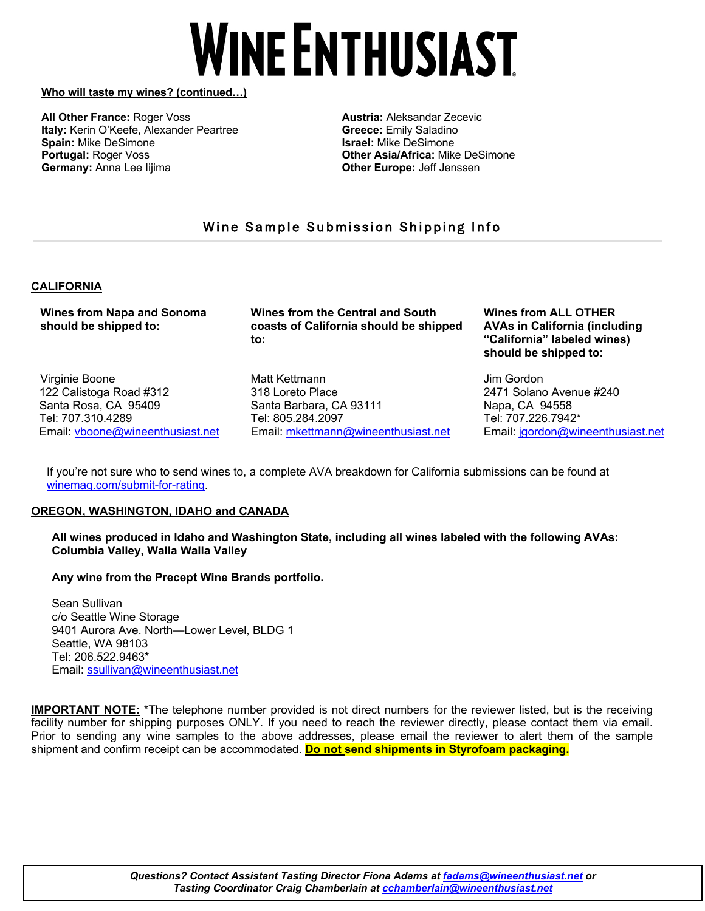# **WINE ENTHUSIAST**

#### **Who will taste my wines? (continued…)**

**All Other France:** Roger Voss **Italy:** Kerin O'Keefe, Alexander Peartree **Spain:** Mike DeSimone **Portugal:** Roger Voss **Germany:** Anna Lee Iijima

**Austria:** Aleksandar Zecevic **Greece:** Emily Saladino **Israel:** Mike DeSimone **Other Asia/Africa:** Mike DeSimone **Other Europe:** Jeff Jenssen

# Wine Sample Submission Shipping Info

#### **CALIFORNIA**

**Wines from Napa and Sonoma should be shipped to:**

Virginie Boone 122 Calistoga Road #312 Santa Rosa, CA 95409 Tel: 707.310.4289 Email: vboone@wineenthusiast.net

**Wines from the Central and South coasts of California should be shipped to:**

Matt Kettmann 318 Loreto Place Santa Barbara, CA 93111 Tel: 805.284.2097 Email: mkettmann@wineenthusiast.net **Wines from ALL OTHER AVAs in California (including "California" labeled wines) should be shipped to:**

Jim Gordon 2471 Solano Avenue #240 Napa, CA 94558 Tel: 707.226.7942\* Email: jgordon@wineenthusiast.net

If you're not sure who to send wines to, a complete AVA breakdown for California submissions can be found at winemag.com/submit-for-rating.

#### **OREGON, WASHINGTON, IDAHO and CANADA**

**All wines produced in Idaho and Washington State, including all wines labeled with the following AVAs: Columbia Valley, Walla Walla Valley**

#### **Any wine from the Precept Wine Brands portfolio.**

Sean Sullivan c/o Seattle Wine Storage 9401 Aurora Ave. North—Lower Level, BLDG 1 Seattle, WA 98103 Tel: 206.522.9463\* Email: ssullivan@wineenthusiast.net

**IMPORTANT NOTE:** \*The telephone number provided is not direct numbers for the reviewer listed, but is the receiving facility number for shipping purposes ONLY. If you need to reach the reviewer directly, please contact them via email. Prior to sending any wine samples to the above addresses, please email the reviewer to alert them of the sample shipment and confirm receipt can be accommodated. **Do not send shipments in Styrofoam packaging.**